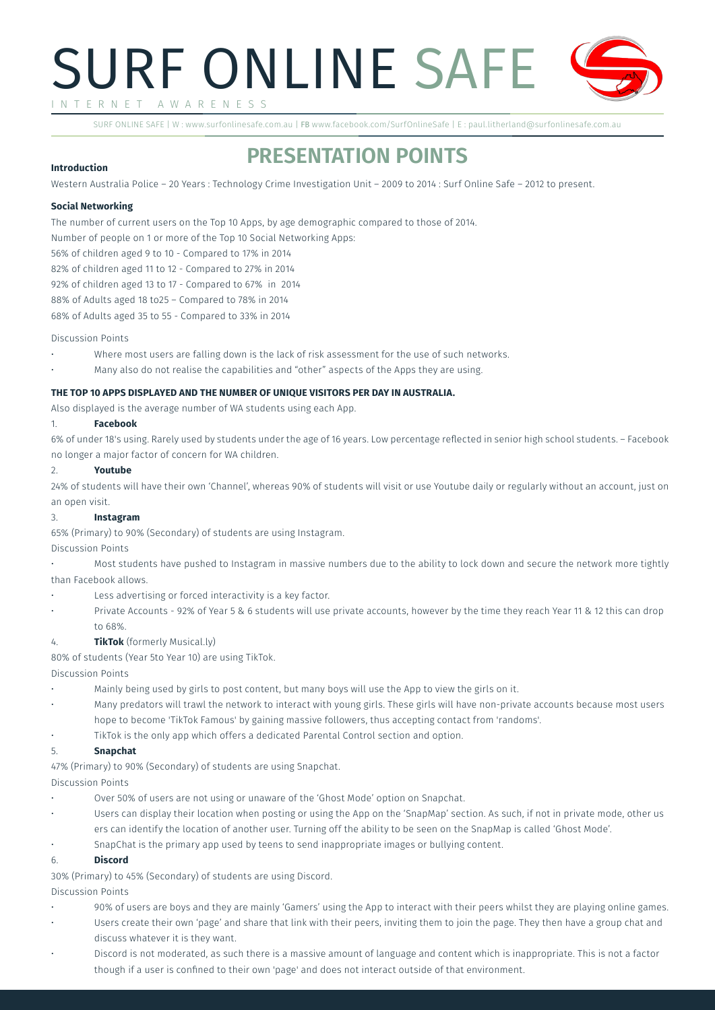# SURF ONLINE SAFE I N T E R N E T A W A R E N E S S

SURF ONLINE SAFE | W : www.surfonlinesafe.com.au | FB www.facebook.com/SurfOnlineSafe | E : paul.litherland@surfonlinesafe.com.au

# **PRESENTATION POINTS**

# **Introduction**

Western Australia Police – 20 Years : Technology Crime Investigation Unit – 2009 to 2014 : Surf Online Safe – 2012 to present.

# **Social Networking**

The number of current users on the Top 10 Apps, by age demographic compared to those of 2014.

Number of people on 1 or more of the Top 10 Social Networking Apps:

56% of children aged 9 to 10 - Compared to 17% in 2014

82% of children aged 11 to 12 - Compared to 27% in 2014

92% of children aged 13 to 17 - Compared to 67% in 2014

88% of Adults aged 18 to25 – Compared to 78% in 2014

68% of Adults aged 35 to 55 - Compared to 33% in 2014

#### Discussion Points

- Where most users are falling down is the lack of risk assessment for the use of such networks.
- Many also do not realise the capabilities and "other" aspects of the Apps they are using.

### **THE TOP 10 APPS DISPLAYED AND THE NUMBER OF UNIQUE VISITORS PER DAY IN AUSTRALIA.**

Also displayed is the average number of WA students using each App.

### 1. **Facebook**

6% of under 18's using. Rarely used by students under the age of 16 years. Low percentage reflected in senior high school students. – Facebook no longer a major factor of concern for WA children.

#### 2. **Youtube**

24% of students will have their own 'Channel', whereas 90% of students will visit or use Youtube daily or regularly without an account, just on an open visit.

### 3. **Instagram**

65% (Primary) to 90% (Secondary) of students are using Instagram.

### Discussion Points

Most students have pushed to Instagram in massive numbers due to the ability to lock down and secure the network more tightly than Facebook allows.

- Less advertising or forced interactivity is a key factor.
- Private Accounts 92% of Year 5 & 6 students will use private accounts, however by the time they reach Year 11 & 12 this can drop to 68%.

### 4. **TikTok** (formerly Musical.ly)

80% of students (Year 5to Year 10) are using TikTok.

Discussion Points

- Mainly being used by girls to post content, but many boys will use the App to view the girls on it.
- Many predators will trawl the network to interact with young girls. These girls will have non-private accounts because most users hope to become 'TikTok Famous' by gaining massive followers, thus accepting contact from 'randoms'.
- TikTok is the only app which offers a dedicated Parental Control section and option.

### 5. **Snapchat**

47% (Primary) to 90% (Secondary) of students are using Snapchat.

# Discussion Points

- Over 50% of users are not using or unaware of the 'Ghost Mode' option on Snapchat.
- Users can display their location when posting or using the App on the 'SnapMap' section. As such, if not in private mode, other us ers can identify the location of another user. Turning off the ability to be seen on the SnapMap is called 'Ghost Mode'.
- SnapChat is the primary app used by teens to send inappropriate images or bullying content.

### 6. **Discord**

30% (Primary) to 45% (Secondary) of students are using Discord.

### Discussion Points

- 90% of users are boys and they are mainly 'Gamers' using the App to interact with their peers whilst they are playing online games.
- Users create their own 'page' and share that link with their peers, inviting them to join the page. They then have a group chat and discuss whatever it is they want.
- Discord is not moderated, as such there is a massive amount of language and content which is inappropriate. This is not a factor though if a user is confined to their own 'page' and does not interact outside of that environment.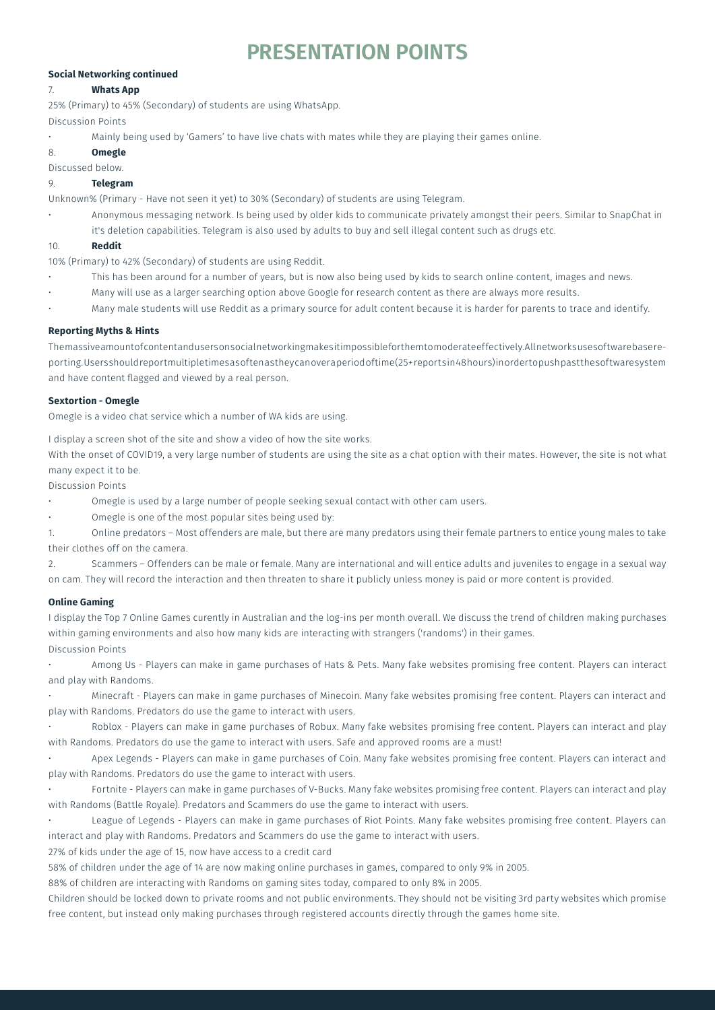# **PRESENTATION POINTS**

# **Social Networking continued**

# 7. **Whats App**

25% (Primary) to 45% (Secondary) of students are using WhatsApp.

Discussion Points

- Mainly being used by 'Gamers' to have live chats with mates while they are playing their games online.
- 8. **Omegle**

Discussed below.

# 9. **Telegram**

Unknown% (Primary - Have not seen it yet) to 30% (Secondary) of students are using Telegram.

Anonymous messaging network. Is being used by older kids to communicate privately amongst their peers. Similar to SnapChat in it's deletion capabilities. Telegram is also used by adults to buy and sell illegal content such as drugs etc.

# 10. **Reddit**

10% (Primary) to 42% (Secondary) of students are using Reddit.

- This has been around for a number of years, but is now also being used by kids to search online content, images and news.
- Many will use as a larger searching option above Google for research content as there are always more results.
- Many male students will use Reddit as a primary source for adult content because it is harder for parents to trace and identify.

# **Reporting Myths & Hints**

The massive amount of content and users on social networking makes it impossible for them to moderate effectively. All networks use software base reporting. Users should report multiple times as often as they can over a period of time (25+ reports in 48 hours) in order to push past the software system and have content flagged and viewed by a real person.

# **Sextortion - Omegle**

Omegle is a video chat service which a number of WA kids are using.

I display a screen shot of the site and show a video of how the site works.

With the onset of COVID19, a very large number of students are using the site as a chat option with their mates. However, the site is not what many expect it to be.

Discussion Points

Omegle is used by a large number of people seeking sexual contact with other cam users.

Omegle is one of the most popular sites being used by:

1. Online predators – Most offenders are male, but there are many predators using their female partners to entice young males to take their clothes off on the camera.

2. Scammers – Offenders can be male or female. Many are international and will entice adults and juveniles to engage in a sexual way on cam. They will record the interaction and then threaten to share it publicly unless money is paid or more content is provided.

# **Online Gaming**

I display the Top 7 Online Games curently in Australian and the log-ins per month overall. We discuss the trend of children making purchases within gaming environments and also how many kids are interacting with strangers ('randoms') in their games. Discussion Points

Among Us - Players can make in game purchases of Hats & Pets. Many fake websites promising free content. Players can interact and play with Randoms.

Minecraft - Players can make in game purchases of Minecoin. Many fake websites promising free content. Players can interact and play with Randoms. Predators do use the game to interact with users.

Roblox - Players can make in game purchases of Robux. Many fake websites promising free content. Players can interact and play with Randoms. Predators do use the game to interact with users. Safe and approved rooms are a must!

Apex Legends - Players can make in game purchases of Coin. Many fake websites promising free content. Players can interact and play with Randoms. Predators do use the game to interact with users.

• Fortnite - Players can make in game purchases of V-Bucks. Many fake websites promising free content. Players can interact and play with Randoms (Battle Royale). Predators and Scammers do use the game to interact with users.

League of Legends - Players can make in game purchases of Riot Points. Many fake websites promising free content. Players can interact and play with Randoms. Predators and Scammers do use the game to interact with users.

27% of kids under the age of 15, now have access to a credit card

58% of children under the age of 14 are now making online purchases in games, compared to only 9% in 2005.

88% of children are interacting with Randoms on gaming sites today, compared to only 8% in 2005.

Children should be locked down to private rooms and not public environments. They should not be visiting 3rd party websites which promise free content, but instead only making purchases through registered accounts directly through the games home site.